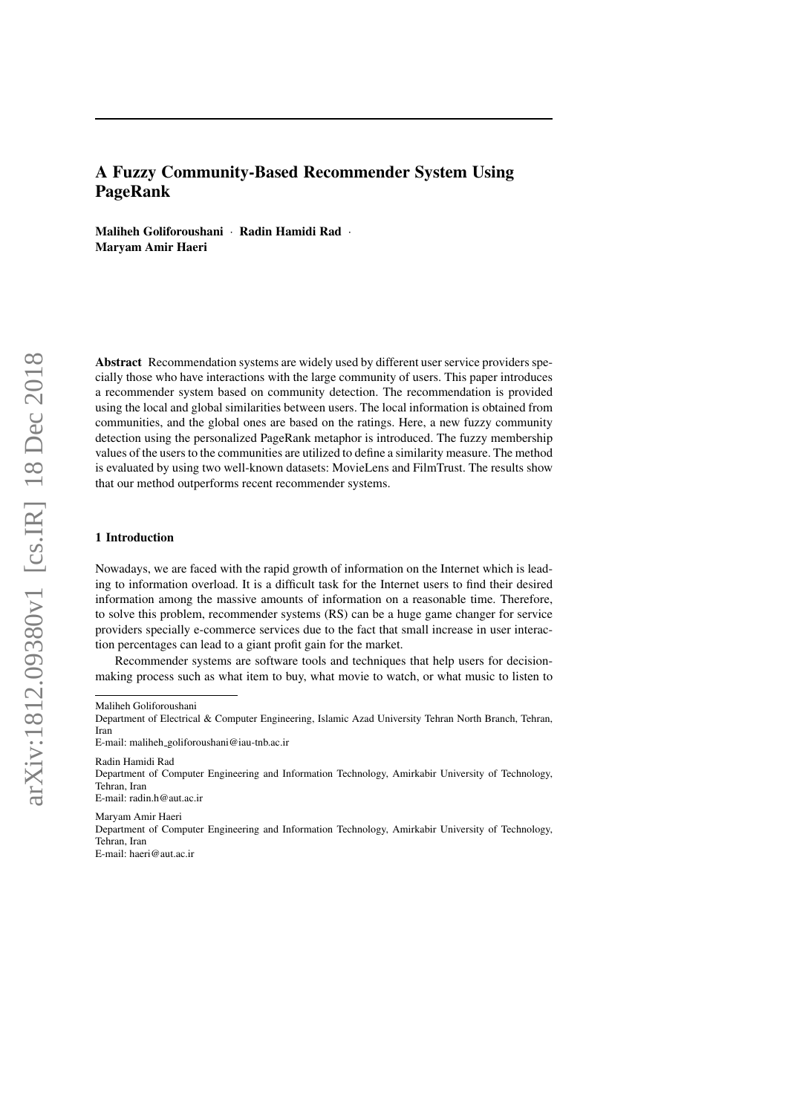# A Fuzzy Community-Based Recommender System Using PageRank

Maliheh Goliforoushani · Radin Hamidi Rad · Maryam Amir Haeri

Abstract Recommendation systems are widely used by different user service providers specially those who have interactions with the large community of users. This paper introduces a recommender system based on community detection. The recommendation is provided using the local and global similarities between users. The local information is obtained from communities, and the global ones are based on the ratings. Here, a new fuzzy community detection using the personalized PageRank metaphor is introduced. The fuzzy membership values of the users to the communities are utilized to define a similarity measure. The method is evaluated by using two well-known datasets: MovieLens and FilmTrust. The results show that our method outperforms recent recommender systems.

#### 1 Introduction

Nowadays, we are faced with the rapid growth of information on the Internet which is leading to information overload. It is a difficult task for the Internet users to find their desired information among the massive amounts of information on a reasonable time. Therefore, to solve this problem, recommender systems (RS) can be a huge game changer for service providers specially e-commerce services due to the fact that small increase in user interaction percentages can lead to a giant profit gain for the market.

Recommender systems are software tools and techniques that help users for decisionmaking process such as what item to buy, what movie to watch, or what music to listen to

E-mail: radin.h@aut.ac.ir

Maryam Amir Haeri Department of Computer Engineering and Information Technology, Amirkabir University of Technology, Tehran, Iran

E-mail: haeri@aut.ac.ir

Maliheh Goliforoushani

Department of Electrical & Computer Engineering, Islamic Azad University Tehran North Branch, Tehran, Iran

E-mail: maliheh goliforoushani@iau-tnb.ac.ir

Radin Hamidi Rad Department of Computer Engineering and Information Technology, Amirkabir University of Technology, Tehran, Iran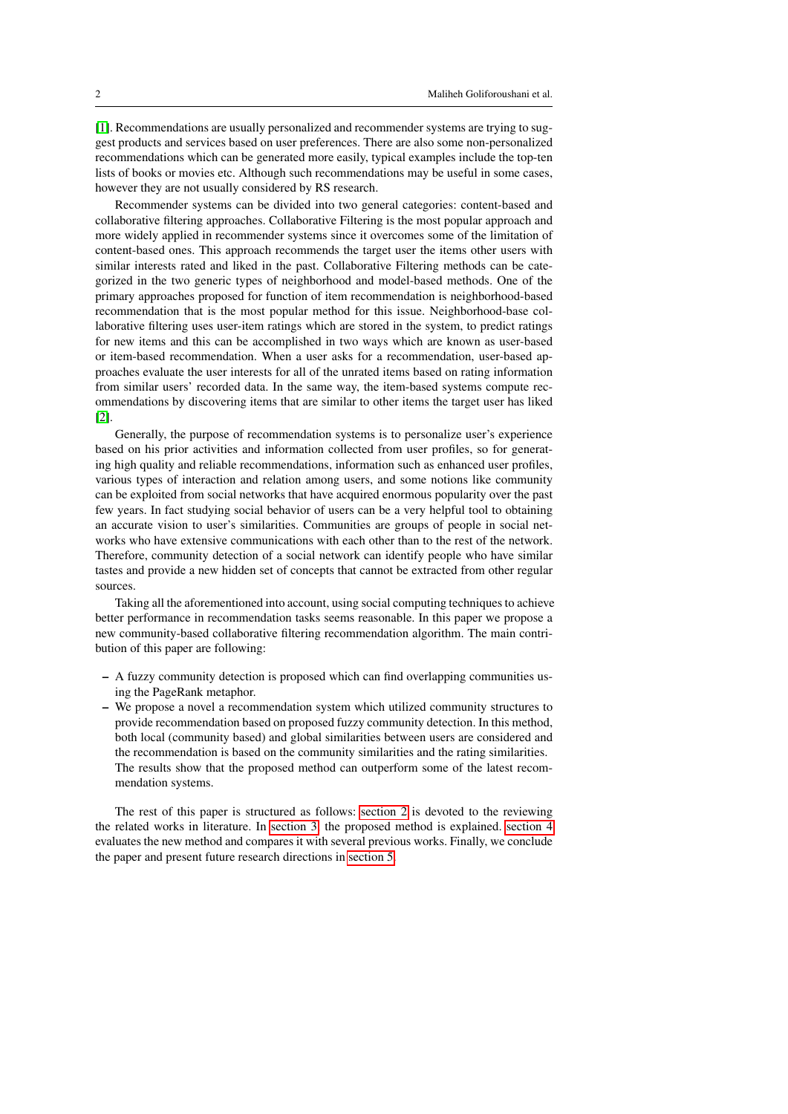[\[1\]](#page-13-0). Recommendations are usually personalized and recommender systems are trying to suggest products and services based on user preferences. There are also some non-personalized recommendations which can be generated more easily, typical examples include the top-ten lists of books or movies etc. Although such recommendations may be useful in some cases, however they are not usually considered by RS research.

Recommender systems can be divided into two general categories: content-based and collaborative filtering approaches. Collaborative Filtering is the most popular approach and more widely applied in recommender systems since it overcomes some of the limitation of content-based ones. This approach recommends the target user the items other users with similar interests rated and liked in the past. Collaborative Filtering methods can be categorized in the two generic types of neighborhood and model-based methods. One of the primary approaches proposed for function of item recommendation is neighborhood-based recommendation that is the most popular method for this issue. Neighborhood-base collaborative filtering uses user-item ratings which are stored in the system, to predict ratings for new items and this can be accomplished in two ways which are known as user-based or item-based recommendation. When a user asks for a recommendation, user-based approaches evaluate the user interests for all of the unrated items based on rating information from similar users' recorded data. In the same way, the item-based systems compute recommendations by discovering items that are similar to other items the target user has liked [\[2\]](#page-14-0).

Generally, the purpose of recommendation systems is to personalize user's experience based on his prior activities and information collected from user profiles, so for generating high quality and reliable recommendations, information such as enhanced user profiles, various types of interaction and relation among users, and some notions like community can be exploited from social networks that have acquired enormous popularity over the past few years. In fact studying social behavior of users can be a very helpful tool to obtaining an accurate vision to user's similarities. Communities are groups of people in social networks who have extensive communications with each other than to the rest of the network. Therefore, community detection of a social network can identify people who have similar tastes and provide a new hidden set of concepts that cannot be extracted from other regular sources

Taking all the aforementioned into account, using social computing techniques to achieve better performance in recommendation tasks seems reasonable. In this paper we propose a new community-based collaborative filtering recommendation algorithm. The main contribution of this paper are following:

- A fuzzy community detection is proposed which can find overlapping communities using the PageRank metaphor.
- We propose a novel a recommendation system which utilized community structures to provide recommendation based on proposed fuzzy community detection. In this method, both local (community based) and global similarities between users are considered and the recommendation is based on the community similarities and the rating similarities. The results show that the proposed method can outperform some of the latest recommendation systems.

The rest of this paper is structured as follows: [section 2](#page-2-0) is devoted to the reviewing the related works in literature. In [section 3,](#page-4-0) the proposed method is explained. [section 4](#page-10-0) evaluates the new method and compares it with several previous works. Finally, we conclude the paper and present future research directions in [section 5.](#page-13-1)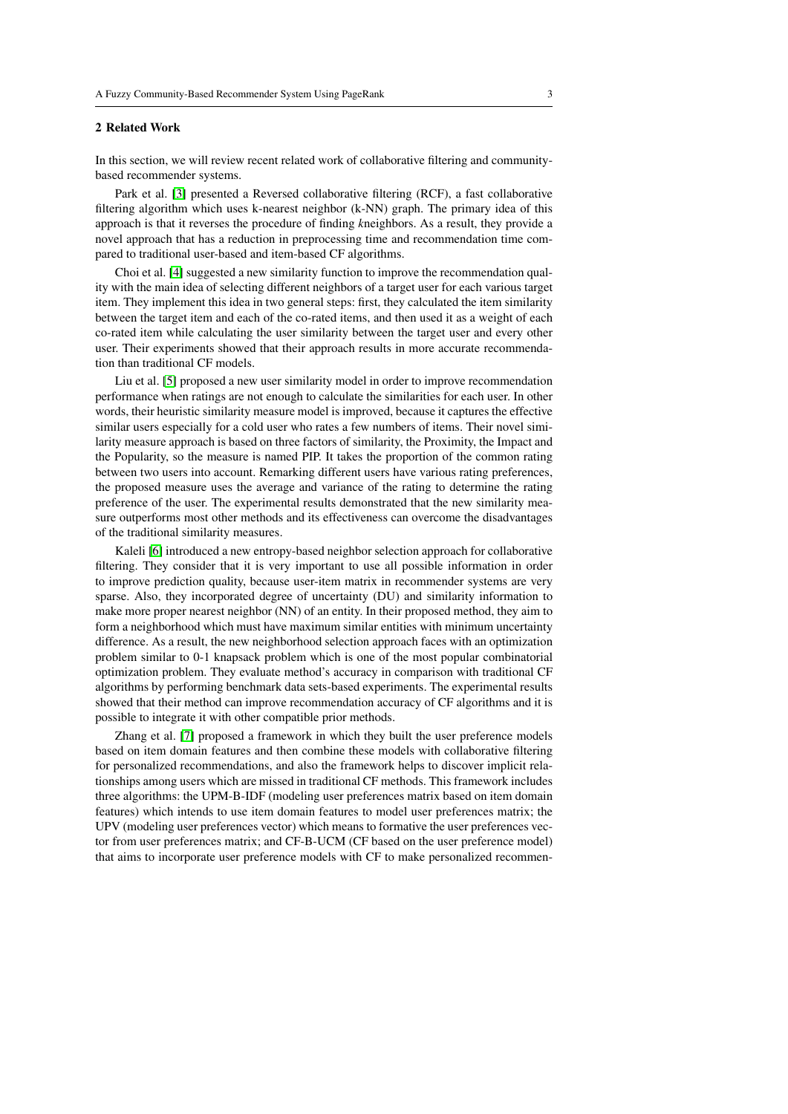## <span id="page-2-0"></span>2 Related Work

In this section, we will review recent related work of collaborative filtering and communitybased recommender systems.

Park et al. [\[3\]](#page-14-1) presented a Reversed collaborative filtering (RCF), a fast collaborative filtering algorithm which uses k-nearest neighbor (k-NN) graph. The primary idea of this approach is that it reverses the procedure of finding *k*neighbors. As a result, they provide a novel approach that has a reduction in preprocessing time and recommendation time compared to traditional user-based and item-based CF algorithms.

Choi et al. [\[4\]](#page-14-2) suggested a new similarity function to improve the recommendation quality with the main idea of selecting different neighbors of a target user for each various target item. They implement this idea in two general steps: first, they calculated the item similarity between the target item and each of the co-rated items, and then used it as a weight of each co-rated item while calculating the user similarity between the target user and every other user. Their experiments showed that their approach results in more accurate recommendation than traditional CF models.

Liu et al. [\[5\]](#page-14-3) proposed a new user similarity model in order to improve recommendation performance when ratings are not enough to calculate the similarities for each user. In other words, their heuristic similarity measure model is improved, because it captures the effective similar users especially for a cold user who rates a few numbers of items. Their novel similarity measure approach is based on three factors of similarity, the Proximity, the Impact and the Popularity, so the measure is named PIP. It takes the proportion of the common rating between two users into account. Remarking different users have various rating preferences, the proposed measure uses the average and variance of the rating to determine the rating preference of the user. The experimental results demonstrated that the new similarity measure outperforms most other methods and its effectiveness can overcome the disadvantages of the traditional similarity measures.

Kaleli [\[6\]](#page-14-4) introduced a new entropy-based neighbor selection approach for collaborative filtering. They consider that it is very important to use all possible information in order to improve prediction quality, because user-item matrix in recommender systems are very sparse. Also, they incorporated degree of uncertainty (DU) and similarity information to make more proper nearest neighbor (NN) of an entity. In their proposed method, they aim to form a neighborhood which must have maximum similar entities with minimum uncertainty difference. As a result, the new neighborhood selection approach faces with an optimization problem similar to 0-1 knapsack problem which is one of the most popular combinatorial optimization problem. They evaluate method's accuracy in comparison with traditional CF algorithms by performing benchmark data sets-based experiments. The experimental results showed that their method can improve recommendation accuracy of CF algorithms and it is possible to integrate it with other compatible prior methods.

Zhang et al. [\[7\]](#page-14-5) proposed a framework in which they built the user preference models based on item domain features and then combine these models with collaborative filtering for personalized recommendations, and also the framework helps to discover implicit relationships among users which are missed in traditional CF methods. This framework includes three algorithms: the UPM-B-IDF (modeling user preferences matrix based on item domain features) which intends to use item domain features to model user preferences matrix; the UPV (modeling user preferences vector) which means to formative the user preferences vector from user preferences matrix; and CF-B-UCM (CF based on the user preference model) that aims to incorporate user preference models with CF to make personalized recommen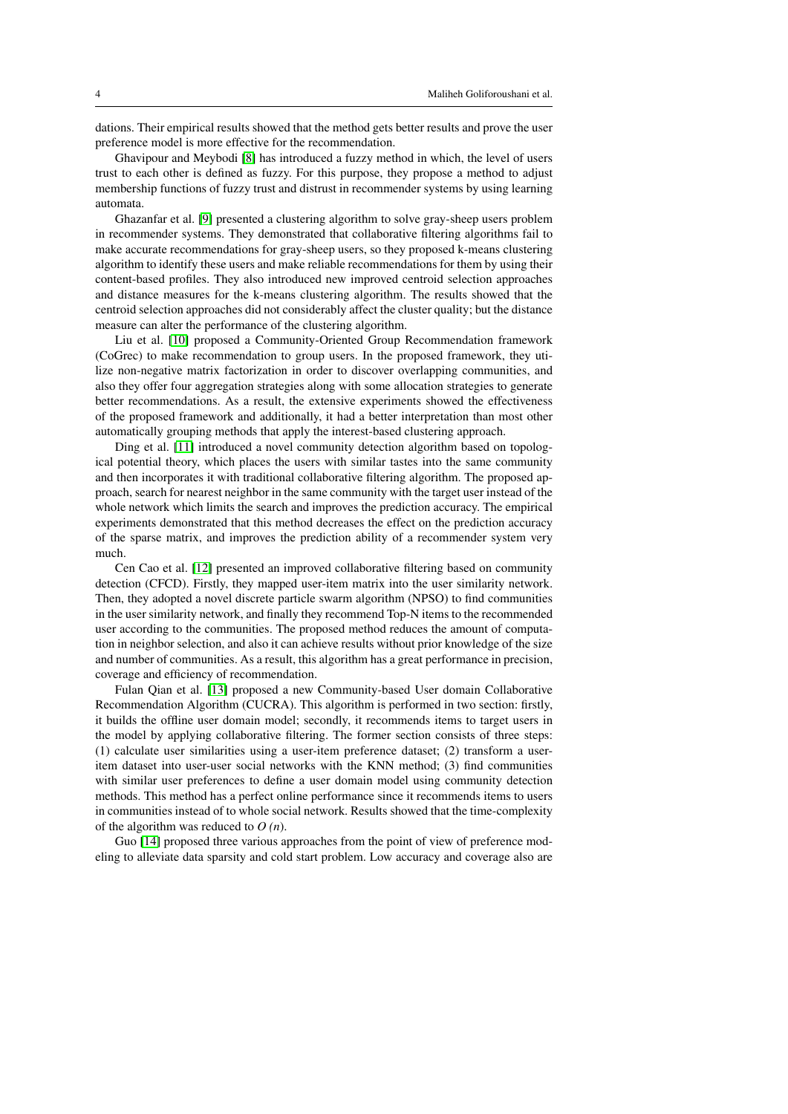dations. Their empirical results showed that the method gets better results and prove the user preference model is more effective for the recommendation.

Ghavipour and Meybodi [\[8\]](#page-14-6) has introduced a fuzzy method in which, the level of users trust to each other is defined as fuzzy. For this purpose, they propose a method to adjust membership functions of fuzzy trust and distrust in recommender systems by using learning automata.

Ghazanfar et al. [\[9\]](#page-14-7) presented a clustering algorithm to solve gray-sheep users problem in recommender systems. They demonstrated that collaborative filtering algorithms fail to make accurate recommendations for gray-sheep users, so they proposed k-means clustering algorithm to identify these users and make reliable recommendations for them by using their content-based profiles. They also introduced new improved centroid selection approaches and distance measures for the k-means clustering algorithm. The results showed that the centroid selection approaches did not considerably affect the cluster quality; but the distance measure can alter the performance of the clustering algorithm.

Liu et al. [\[10\]](#page-14-8) proposed a Community-Oriented Group Recommendation framework (CoGrec) to make recommendation to group users. In the proposed framework, they utilize non-negative matrix factorization in order to discover overlapping communities, and also they offer four aggregation strategies along with some allocation strategies to generate better recommendations. As a result, the extensive experiments showed the effectiveness of the proposed framework and additionally, it had a better interpretation than most other automatically grouping methods that apply the interest-based clustering approach.

Ding et al. [\[11\]](#page-14-9) introduced a novel community detection algorithm based on topological potential theory, which places the users with similar tastes into the same community and then incorporates it with traditional collaborative filtering algorithm. The proposed approach, search for nearest neighbor in the same community with the target user instead of the whole network which limits the search and improves the prediction accuracy. The empirical experiments demonstrated that this method decreases the effect on the prediction accuracy of the sparse matrix, and improves the prediction ability of a recommender system very much.

Cen Cao et al. [\[12\]](#page-14-10) presented an improved collaborative filtering based on community detection (CFCD). Firstly, they mapped user-item matrix into the user similarity network. Then, they adopted a novel discrete particle swarm algorithm (NPSO) to find communities in the user similarity network, and finally they recommend Top-N items to the recommended user according to the communities. The proposed method reduces the amount of computation in neighbor selection, and also it can achieve results without prior knowledge of the size and number of communities. As a result, this algorithm has a great performance in precision, coverage and efficiency of recommendation.

Fulan Qian et al. [\[13\]](#page-14-11) proposed a new Community-based User domain Collaborative Recommendation Algorithm (CUCRA). This algorithm is performed in two section: firstly, it builds the offline user domain model; secondly, it recommends items to target users in the model by applying collaborative filtering. The former section consists of three steps: (1) calculate user similarities using a user-item preference dataset; (2) transform a useritem dataset into user-user social networks with the KNN method; (3) find communities with similar user preferences to define a user domain model using community detection methods. This method has a perfect online performance since it recommends items to users in communities instead of to whole social network. Results showed that the time-complexity of the algorithm was reduced to *O (n*).

Guo [\[14\]](#page-14-12) proposed three various approaches from the point of view of preference modeling to alleviate data sparsity and cold start problem. Low accuracy and coverage also are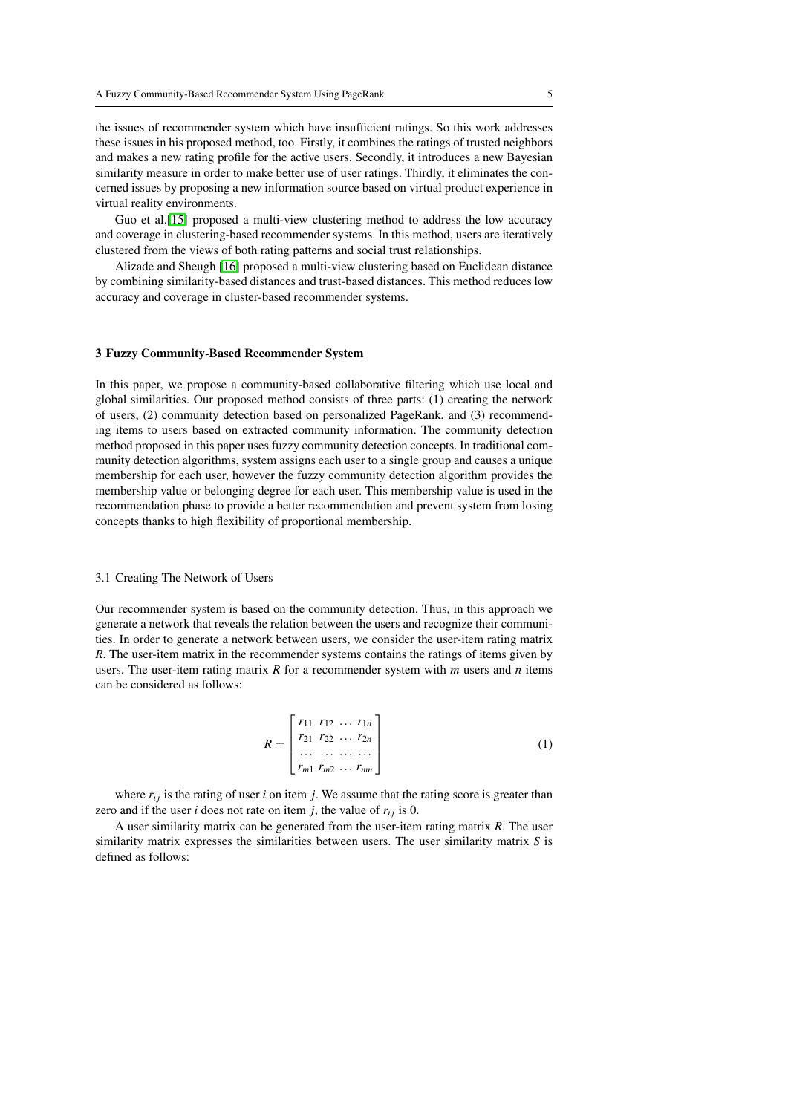the issues of recommender system which have insufficient ratings. So this work addresses these issues in his proposed method, too. Firstly, it combines the ratings of trusted neighbors and makes a new rating profile for the active users. Secondly, it introduces a new Bayesian similarity measure in order to make better use of user ratings. Thirdly, it eliminates the concerned issues by proposing a new information source based on virtual product experience in virtual reality environments.

Guo et al.[\[15\]](#page-14-13) proposed a multi-view clustering method to address the low accuracy and coverage in clustering-based recommender systems. In this method, users are iteratively clustered from the views of both rating patterns and social trust relationships.

Alizade and Sheugh [\[16\]](#page-14-14) proposed a multi-view clustering based on Euclidean distance by combining similarity-based distances and trust-based distances. This method reduces low accuracy and coverage in cluster-based recommender systems.

### <span id="page-4-0"></span>3 Fuzzy Community-Based Recommender System

In this paper, we propose a community-based collaborative filtering which use local and global similarities. Our proposed method consists of three parts: (1) creating the network of users, (2) community detection based on personalized PageRank, and (3) recommending items to users based on extracted community information. The community detection method proposed in this paper uses fuzzy community detection concepts. In traditional community detection algorithms, system assigns each user to a single group and causes a unique membership for each user, however the fuzzy community detection algorithm provides the membership value or belonging degree for each user. This membership value is used in the recommendation phase to provide a better recommendation and prevent system from losing concepts thanks to high flexibility of proportional membership.

#### 3.1 Creating The Network of Users

Our recommender system is based on the community detection. Thus, in this approach we generate a network that reveals the relation between the users and recognize their communities. In order to generate a network between users, we consider the user-item rating matrix *R*. The user-item matrix in the recommender systems contains the ratings of items given by users. The user-item rating matrix *R* for a recommender system with *m* users and *n* items can be considered as follows:

$$
R = \begin{bmatrix} r_{11} & r_{12} & \dots & r_{1n} \\ r_{21} & r_{22} & \dots & r_{2n} \\ \dots & \dots & \dots & \dots \\ r_{m1} & r_{m2} & \dots & r_{mn} \end{bmatrix}
$$
 (1)

where  $r_{ij}$  is the rating of user *i* on item *j*. We assume that the rating score is greater than zero and if the user *i* does not rate on item *j*, the value of  $r_{ij}$  is 0.

A user similarity matrix can be generated from the user-item rating matrix *R*. The user similarity matrix expresses the similarities between users. The user similarity matrix *S* is defined as follows: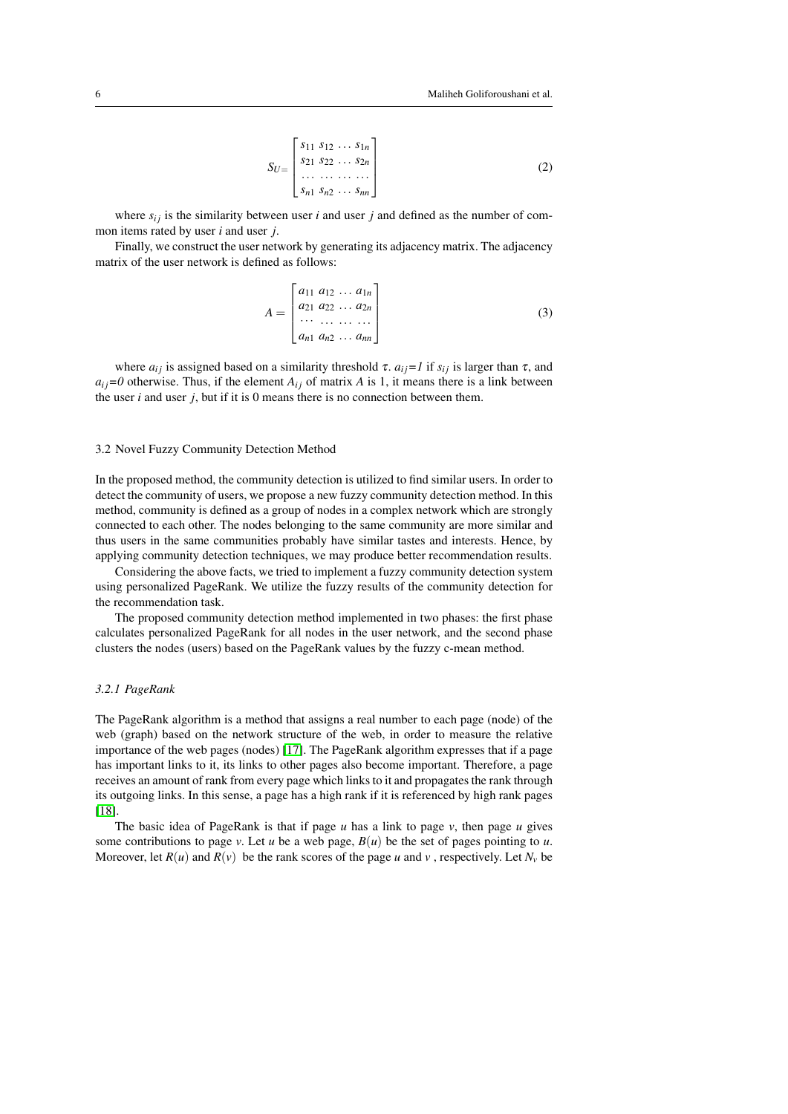$$
S_{U} = \begin{bmatrix} s_{11} & s_{12} & \dots & s_{1n} \\ s_{21} & s_{22} & \dots & s_{2n} \\ \dots & \dots & \dots & \dots \\ s_{n1} & s_{n2} & \dots & s_{nn} \end{bmatrix}
$$
 (2)

where  $s_{ij}$  is the similarity between user *i* and user *j* and defined as the number of common items rated by user *i* and user *j*.

Finally, we construct the user network by generating its adjacency matrix. The adjacency matrix of the user network is defined as follows:

$$
A = \begin{bmatrix} a_{11} & a_{12} & \dots & a_{1n} \\ a_{21} & a_{22} & \dots & a_{2n} \\ \dots & \dots & \dots & \dots \\ a_{n1} & a_{n2} & \dots & a_{nn} \end{bmatrix}
$$
 (3)

where  $a_{ij}$  is assigned based on a similarity threshold  $\tau$ .  $a_{ij} = I$  if  $s_{ij}$  is larger than  $\tau$ , and  $a_{ij}$ =0 otherwise. Thus, if the element  $A_{ij}$  of matrix *A* is 1, it means there is a link between the user *i* and user *j*, but if it is 0 means there is no connection between them.

## 3.2 Novel Fuzzy Community Detection Method

In the proposed method, the community detection is utilized to find similar users. In order to detect the community of users, we propose a new fuzzy community detection method. In this method, community is defined as a group of nodes in a complex network which are strongly connected to each other. The nodes belonging to the same community are more similar and thus users in the same communities probably have similar tastes and interests. Hence, by applying community detection techniques, we may produce better recommendation results.

Considering the above facts, we tried to implement a fuzzy community detection system using personalized PageRank. We utilize the fuzzy results of the community detection for the recommendation task.

The proposed community detection method implemented in two phases: the first phase calculates personalized PageRank for all nodes in the user network, and the second phase clusters the nodes (users) based on the PageRank values by the fuzzy c-mean method.

#### *3.2.1 PageRank*

The PageRank algorithm is a method that assigns a real number to each page (node) of the web (graph) based on the network structure of the web, in order to measure the relative importance of the web pages (nodes) [\[17\]](#page-14-15). The PageRank algorithm expresses that if a page has important links to it, its links to other pages also become important. Therefore, a page receives an amount of rank from every page which links to it and propagates the rank through its outgoing links. In this sense, a page has a high rank if it is referenced by high rank pages [\[18\]](#page-14-16).

The basic idea of PageRank is that if page  $u$  has a link to page  $v$ , then page  $u$  gives some contributions to page *v*. Let *u* be a web page,  $B(u)$  be the set of pages pointing to *u*. Moreover, let  $R(u)$  and  $R(v)$  be the rank scores of the page *u* and *v*, respectively. Let  $N_v$  be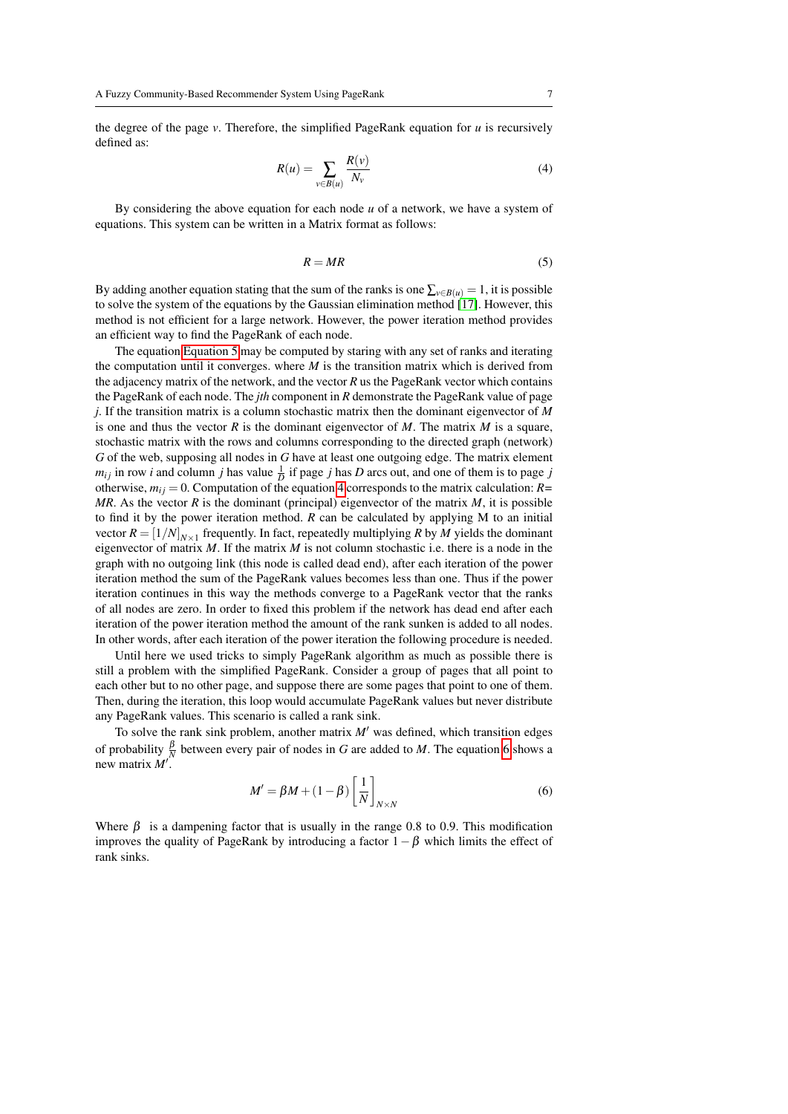the degree of the page *v*. Therefore, the simplified PageRank equation for *u* is recursively defined as:

<span id="page-6-1"></span>
$$
R(u) = \sum_{v \in B(u)} \frac{R(v)}{N_v}
$$
\n<sup>(4)</sup>

By considering the above equation for each node *u* of a network, we have a system of equations. This system can be written in a Matrix format as follows:

<span id="page-6-0"></span>
$$
R = MR \tag{5}
$$

By adding another equation stating that the sum of the ranks is one  $\sum_{v \in B(u)} = 1$ , it is possible to solve the system of the equations by the Gaussian elimination method [\[17\]](#page-14-15). However, this method is not efficient for a large network. However, the power iteration method provides an efficient way to find the PageRank of each node.

The equation [Equation 5](#page-6-0) may be computed by staring with any set of ranks and iterating the computation until it converges. where *M* is the transition matrix which is derived from the adjacency matrix of the network, and the vector *R* us the PageRank vector which contains the PageRank of each node. The *jth* component in *R* demonstrate the PageRank value of page *j*. If the transition matrix is a column stochastic matrix then the dominant eigenvector of *M* is one and thus the vector  $R$  is the dominant eigenvector of  $M$ . The matrix  $M$  is a square, stochastic matrix with the rows and columns corresponding to the directed graph (network) *G* of the web, supposing all nodes in *G* have at least one outgoing edge. The matrix element  $m_{ij}$  in row *i* and column *j* has value  $\frac{1}{D}$  if page *j* has *D* arcs out, and one of them is to page *j* otherwise,  $m_{ij} = 0$ . Computation of the equation [4](#page-6-1) corresponds to the matrix calculation:  $R =$ *MR*. As the vector *R* is the dominant (principal) eigenvector of the matrix *M*, it is possible to find it by the power iteration method. *R* can be calculated by applying M to an initial vector  $R = [1/N]_{N \times 1}$  frequently. In fact, repeatedly multiplying R by M yields the dominant eigenvector of matrix *M*. If the matrix *M* is not column stochastic i.e. there is a node in the graph with no outgoing link (this node is called dead end), after each iteration of the power iteration method the sum of the PageRank values becomes less than one. Thus if the power iteration continues in this way the methods converge to a PageRank vector that the ranks of all nodes are zero. In order to fixed this problem if the network has dead end after each iteration of the power iteration method the amount of the rank sunken is added to all nodes. In other words, after each iteration of the power iteration the following procedure is needed.

Until here we used tricks to simply PageRank algorithm as much as possible there is still a problem with the simplified PageRank. Consider a group of pages that all point to each other but to no other page, and suppose there are some pages that point to one of them. Then, during the iteration, this loop would accumulate PageRank values but never distribute any PageRank values. This scenario is called a rank sink.

To solve the rank sink problem, another matrix  $M'$  was defined, which transition edges of probability  $\frac{\beta}{N}$  between every pair of nodes in *G* are added to *M*. The equation [6](#page-6-2) shows a new matrix  $M'$ .

<span id="page-6-2"></span>
$$
M' = \beta M + (1 - \beta) \left[ \frac{1}{N} \right]_{N \times N}
$$
 (6)

Where  $\beta$  is a dampening factor that is usually in the range 0.8 to 0.9. This modification improves the quality of PageRank by introducing a factor  $1-\beta$  which limits the effect of rank sinks.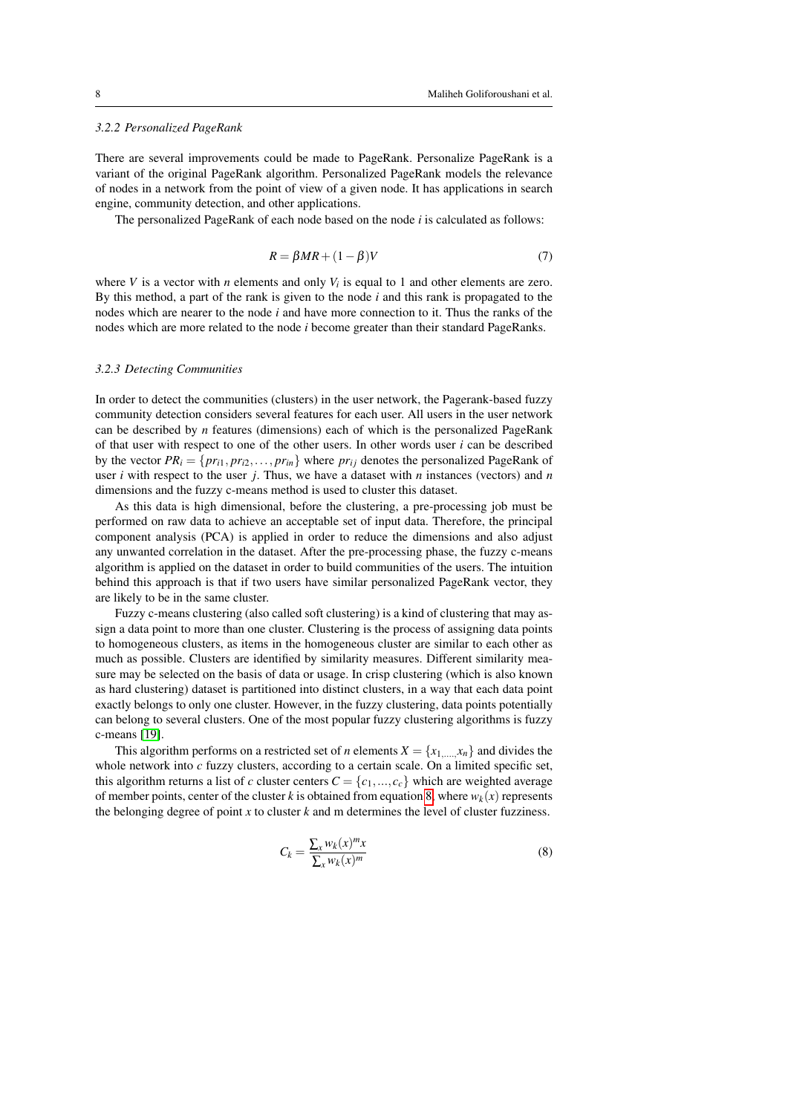#### *3.2.2 Personalized PageRank*

There are several improvements could be made to PageRank. Personalize PageRank is a variant of the original PageRank algorithm. Personalized PageRank models the relevance of nodes in a network from the point of view of a given node. It has applications in search engine, community detection, and other applications.

The personalized PageRank of each node based on the node *i* is calculated as follows:

$$
R = \beta MR + (1 - \beta)V \tag{7}
$$

where  $V$  is a vector with  $n$  elements and only  $V_i$  is equal to 1 and other elements are zero. By this method, a part of the rank is given to the node *i* and this rank is propagated to the nodes which are nearer to the node *i* and have more connection to it. Thus the ranks of the nodes which are more related to the node *i* become greater than their standard PageRanks.

## *3.2.3 Detecting Communities*

In order to detect the communities (clusters) in the user network, the Pagerank-based fuzzy community detection considers several features for each user. All users in the user network can be described by *n* features (dimensions) each of which is the personalized PageRank of that user with respect to one of the other users. In other words user *i* can be described by the vector  $PR_i = \{pr_{i1}, pr_{i2}, \ldots, pr_{in}\}\$  where  $pr_{i}$  denotes the personalized PageRank of user *i* with respect to the user *j*. Thus, we have a dataset with *n* instances (vectors) and *n* dimensions and the fuzzy c-means method is used to cluster this dataset.

As this data is high dimensional, before the clustering, a pre-processing job must be performed on raw data to achieve an acceptable set of input data. Therefore, the principal component analysis (PCA) is applied in order to reduce the dimensions and also adjust any unwanted correlation in the dataset. After the pre-processing phase, the fuzzy c-means algorithm is applied on the dataset in order to build communities of the users. The intuition behind this approach is that if two users have similar personalized PageRank vector, they are likely to be in the same cluster.

Fuzzy c-means clustering (also called soft clustering) is a kind of clustering that may assign a data point to more than one cluster. Clustering is the process of assigning data points to homogeneous clusters, as items in the homogeneous cluster are similar to each other as much as possible. Clusters are identified by similarity measures. Different similarity measure may be selected on the basis of data or usage. In crisp clustering (which is also known as hard clustering) dataset is partitioned into distinct clusters, in a way that each data point exactly belongs to only one cluster. However, in the fuzzy clustering, data points potentially can belong to several clusters. One of the most popular fuzzy clustering algorithms is fuzzy c-means [\[19\]](#page-14-17).

This algorithm performs on a restricted set of *n* elements  $X = \{x_1, ..., x_n\}$  and divides the whole network into *c* fuzzy clusters, according to a certain scale. On a limited specific set, this algorithm returns a list of *c* cluster centers  $C = \{c_1, ..., c_c\}$  which are weighted average of member points, center of the cluster *k* is obtained from equation [8,](#page-7-0) where  $w_k(x)$  represents the belonging degree of point *x* to cluster *k* and m determines the level of cluster fuzziness.

<span id="page-7-0"></span>
$$
C_k = \frac{\sum_x w_k(x)^m x}{\sum_x w_k(x)^m}
$$
\n(8)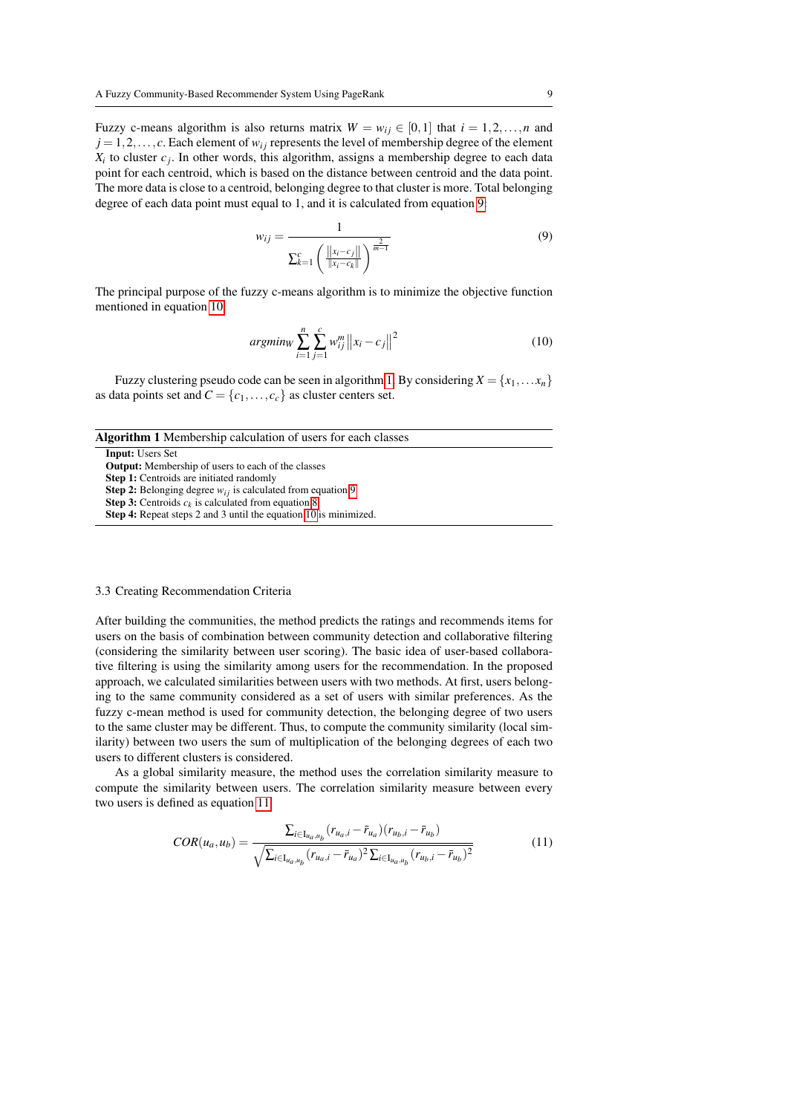Fuzzy c-means algorithm is also returns matrix  $W = w_{ij} \in [0,1]$  that  $i = 1,2,...,n$  and  $j = 1, 2, \ldots, c$ . Each element of  $w_{ij}$  represents the level of membership degree of the element  $X_i$  to cluster  $c_j$ . In other words, this algorithm, assigns a membership degree to each data point for each centroid, which is based on the distance between centroid and the data point. The more data is close to a centroid, belonging degree to that cluster is more. Total belonging degree of each data point must equal to 1, and it is calculated from equation [9:](#page-8-0)

<span id="page-8-0"></span>
$$
w_{ij} = \frac{1}{\sum_{k=1}^{c} \left( \frac{\|x_i - c_j\|}{\|x_i - c_k\|} \right)^{\frac{2}{m-1}}}
$$
(9)

The principal purpose of the fuzzy c-means algorithm is to minimize the objective function mentioned in equation [10:](#page-8-1)

<span id="page-8-1"></span>
$$
argmin_{W} \sum_{i=1}^{n} \sum_{j=1}^{c} w_{ij}^{m} ||x_i - c_j||^2
$$
\n(10)

Fuzzy clustering pseudo code can be seen in algorithm [1.](#page-8-2) By considering  $X = \{x_1, \ldots, x_n\}$ as data points set and  $C = \{c_1, \ldots, c_c\}$  as cluster centers set.

#### <span id="page-8-2"></span>Algorithm 1 Membership calculation of users for each classes

| <b>Input:</b> Users Set                                                 |
|-------------------------------------------------------------------------|
| <b>Output:</b> Membership of users to each of the classes               |
| <b>Step 1:</b> Centroids are initiated randomly                         |
| <b>Step 2:</b> Belonging degree $w_{ij}$ is calculated from equation 9  |
| <b>Step 3:</b> Centroids $c_k$ is calculated from equation 8            |
| <b>Step 4:</b> Repeat steps 2 and 3 until the equation 10 is minimized. |

#### 3.3 Creating Recommendation Criteria

After building the communities, the method predicts the ratings and recommends items for users on the basis of combination between community detection and collaborative filtering (considering the similarity between user scoring). The basic idea of user-based collaborative filtering is using the similarity among users for the recommendation. In the proposed approach, we calculated similarities between users with two methods. At first, users belonging to the same community considered as a set of users with similar preferences. As the fuzzy c-mean method is used for community detection, the belonging degree of two users to the same cluster may be different. Thus, to compute the community similarity (local similarity) between two users the sum of multiplication of the belonging degrees of each two users to different clusters is considered.

As a global similarity measure, the method uses the correlation similarity measure to compute the similarity between users. The correlation similarity measure between every two users is defined as equation [11](#page-8-3)

<span id="page-8-3"></span>
$$
COR(u_a, u_b) = \frac{\sum_{i \in I_{u_a, u_b}} (r_{u_a, i} - \bar{r}_{u_a})(r_{u_b, i} - \bar{r}_{u_b})}{\sqrt{\sum_{i \in I_{u_a, u_b}} (r_{u_a, i} - \bar{r}_{u_a})^2 \sum_{i \in I_{u_a, u_b}} (r_{u_b, i} - \bar{r}_{u_b})^2}}
$$
(11)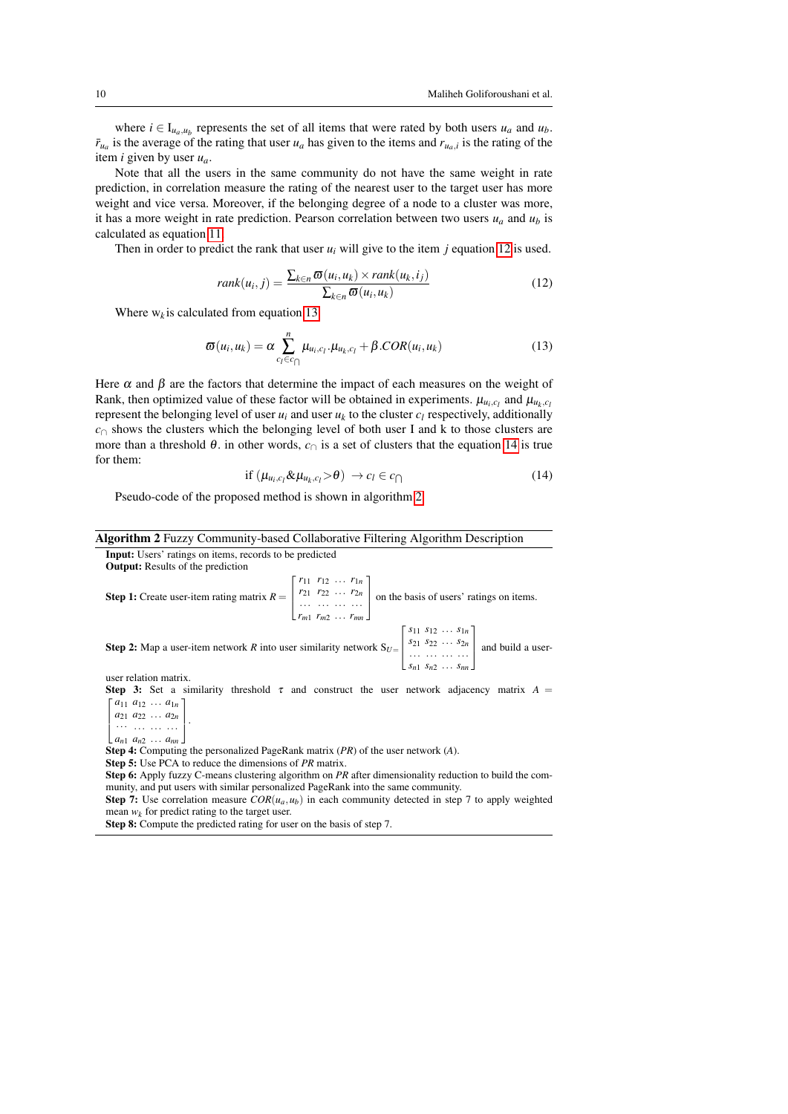where  $i \in I_{u_a, u_b}$  represents the set of all items that were rated by both users  $u_a$  and  $u_b$ .  $\bar{r}_{u_a}$  is the average of the rating that user  $u_a$  has given to the items and  $r_{u_a,i}$  is the rating of the item *i* given by user *ua*.

Note that all the users in the same community do not have the same weight in rate prediction, in correlation measure the rating of the nearest user to the target user has more weight and vice versa. Moreover, if the belonging degree of a node to a cluster was more, it has a more weight in rate prediction. Pearson correlation between two users  $u_a$  and  $u_b$  is calculated as equation [11.](#page-8-3)

Then in order to predict the rank that user  $u_i$  will give to the item  $j$  equation [12](#page-9-0) is used.

<span id="page-9-0"></span>
$$
rank(u_i, j) = \frac{\sum_{k \in n} \varpi(u_i, u_k) \times rank(u_k, i_j)}{\sum_{k \in n} \varpi(u_i, u_k)}
$$
(12)

Where  $w_k$  is calculated from equation [13:](#page-9-1)

<span id="page-9-1"></span>
$$
\boldsymbol{\varpi}(u_i, u_k) = \alpha \sum_{c_l \in c_l}^{n} \mu_{u_i, c_l} \cdot \mu_{u_k, c_l} + \beta \cdot \text{COR}(u_i, u_k)
$$
\n(13)

Here  $\alpha$  and  $\beta$  are the factors that determine the impact of each measures on the weight of Rank, then optimized value of these factor will be obtained in experiments.  $\mu_{u_i,c_i}$  and  $\mu_{u_k,c_i}$ represent the belonging level of user  $u_i$  and user  $u_k$  to the cluster  $c_l$  respectively, additionally *c*<sup>∩</sup> shows the clusters which the belonging level of both user I and k to those clusters are more than a threshold  $\theta$ , in other words,  $c_{\Omega}$  is a set of clusters that the equation [14](#page-9-2) is true for them:

<span id="page-9-2"></span>
$$
\text{if } (\mu_{u_i,c_l} \& \mu_{u_k,c_l} > \theta) \rightarrow c_l \in c_{\bigcap} \tag{14}
$$

Pseudo-code of the proposed method is shown in algorithm [2.](#page-9-3)

### <span id="page-9-3"></span>Algorithm 2 Fuzzy Community-based Collaborative Filtering Algorithm Description

Input: Users' ratings on items, records to be predicted

Output: Results of the prediction

**Step 1:** Create user-item rating matrix  $R =$  $\sqrt{ }$  $\overline{\phantom{a}}$  $r_{11}$   $r_{12}$  ...  $r_{1n}$  ] *r*<sup>21</sup> *r*<sup>22</sup> ... *r*2*<sup>n</sup>*  $\begin{array}{ccc} 21 & 22 & 2n \\ \cdots & \cdots & \cdots & \cdots \end{array}$  $\lfloor r_{m1} \r_{m2} \r \ldots \r_{mn} \rfloor$  on the basis of users' ratings on items. **Step 2:** Map a user-item network R into user similarity network  $S_{U=}$  $\sqrt{ }$  $\overline{\phantom{a}}$ *s*<sup>11</sup> *s*<sup>12</sup> ... *s*1*<sup>n</sup> s*<sup>21</sup> *s*<sup>22</sup> ... *s*2*<sup>n</sup>* ... ... ... ... *sn*<sup>1</sup> *sn*<sup>2</sup> ... *snn* 1 and build a useruser relation matrix. Step 3: Set a similarity threshold  $\tau$  and construct the user network adjacency matrix  $A =$ 

 $a_{11} a_{12} \ldots a_{1n}$ 

 $\overline{1}$ *a*<sup>21</sup> *a*<sup>22</sup> ... *a*2*<sup>n</sup>* ··· ... ... ...  $\mathbf{I}$  $\vert \cdot$ 

 $\overline{1}$  $a_{n1}$   $a_{n2}$   $\dots$   $a_{nn}$ 

Step 4: Computing the personalized PageRank matrix (*PR*) of the user network (*A*).

Step 5: Use PCA to reduce the dimensions of *PR* matrix.

Step 6: Apply fuzzy C-means clustering algorithm on *PR* after dimensionality reduction to build the community, and put users with similar personalized PageRank into the same community.

**Step 7:** Use correlation measure  $COR(u_a, u_b)$  in each community detected in step 7 to apply weighted mean  $w_k$  for predict rating to the target user.

Step 8: Compute the predicted rating for user on the basis of step 7.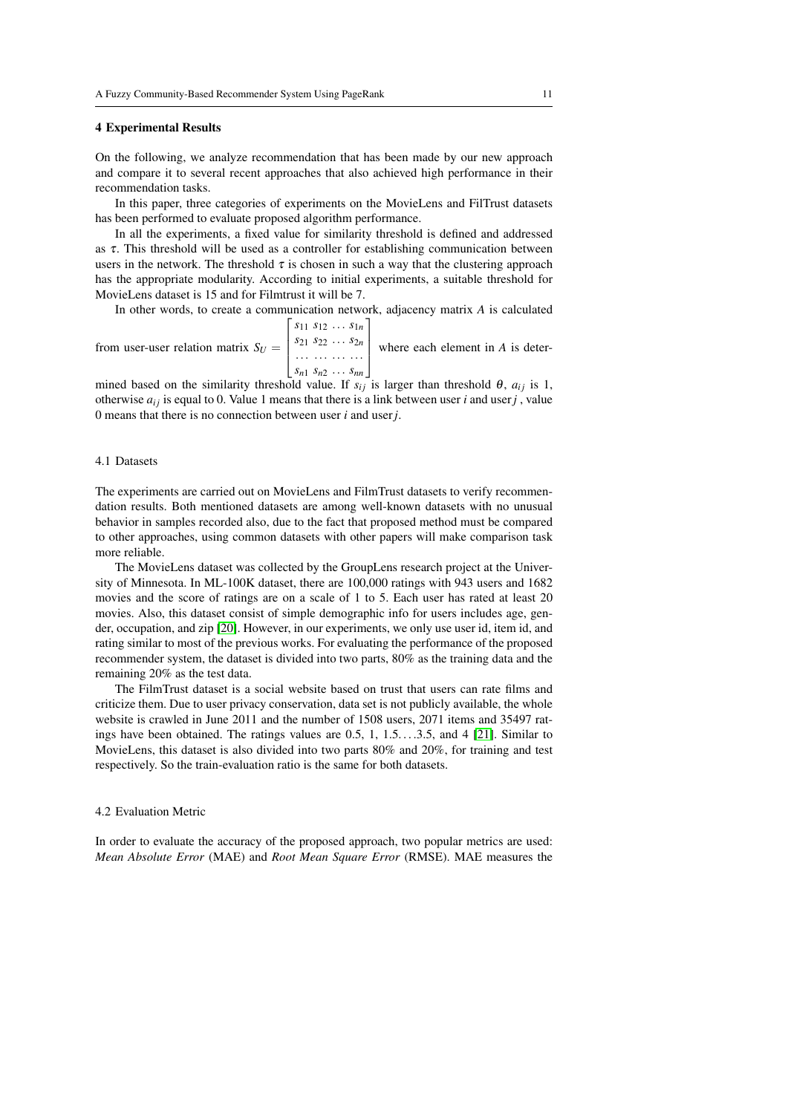#### <span id="page-10-0"></span>4 Experimental Results

On the following, we analyze recommendation that has been made by our new approach and compare it to several recent approaches that also achieved high performance in their recommendation tasks.

In this paper, three categories of experiments on the MovieLens and FilTrust datasets has been performed to evaluate proposed algorithm performance.

In all the experiments, a fixed value for similarity threshold is defined and addressed as  $\tau$ . This threshold will be used as a controller for establishing communication between users in the network. The threshold  $\tau$  is chosen in such a way that the clustering approach has the appropriate modularity. According to initial experiments, a suitable threshold for MovieLens dataset is 15 and for Filmtrust it will be 7.

In other words, to create a communication network, adjacency matrix *A* is calculated

from user-user relation matrix  $S_U =$  $s_{11} s_{12} \ldots s_{1n}$ *s*<sup>21</sup> *s*<sup>22</sup> ... *s*2*<sup>n</sup>*  $\begin{array}{c} .21 \ 322 \cdots 32n \\ \cdots \end{array}$  $\begin{bmatrix} s_{n1} & s_{n2} & \ldots & s_{nn} \end{bmatrix}$ where each element in *A* is deter-

mined based on the similarity threshold value. If  $s_{ij}$  is larger than threshold  $\theta$ ,  $a_{ij}$  is 1, otherwise  $a_{ij}$  is equal to 0. Value 1 means that there is a link between user *i* and user *j*, value 0 means that there is no connection between user *i* and user*j*.

## 4.1 Datasets

The experiments are carried out on MovieLens and FilmTrust datasets to verify recommendation results. Both mentioned datasets are among well-known datasets with no unusual behavior in samples recorded also, due to the fact that proposed method must be compared to other approaches, using common datasets with other papers will make comparison task more reliable.

The MovieLens dataset was collected by the GroupLens research project at the University of Minnesota. In ML-100K dataset, there are 100,000 ratings with 943 users and 1682 movies and the score of ratings are on a scale of 1 to 5. Each user has rated at least 20 movies. Also, this dataset consist of simple demographic info for users includes age, gender, occupation, and zip [\[20\]](#page-15-0). However, in our experiments, we only use user id, item id, and rating similar to most of the previous works. For evaluating the performance of the proposed recommender system, the dataset is divided into two parts, 80% as the training data and the remaining 20% as the test data.

The FilmTrust dataset is a social website based on trust that users can rate films and criticize them. Due to user privacy conservation, data set is not publicly available, the whole website is crawled in June 2011 and the number of 1508 users, 2071 items and 35497 ratings have been obtained. The ratings values are  $0.5, 1, 1.5...$  . . .3.5, and 4 [\[21\]](#page-15-1). Similar to MovieLens, this dataset is also divided into two parts 80% and 20%, for training and test respectively. So the train-evaluation ratio is the same for both datasets.

#### 4.2 Evaluation Metric

In order to evaluate the accuracy of the proposed approach, two popular metrics are used: *Mean Absolute Error* (MAE) and *Root Mean Square Error* (RMSE). MAE measures the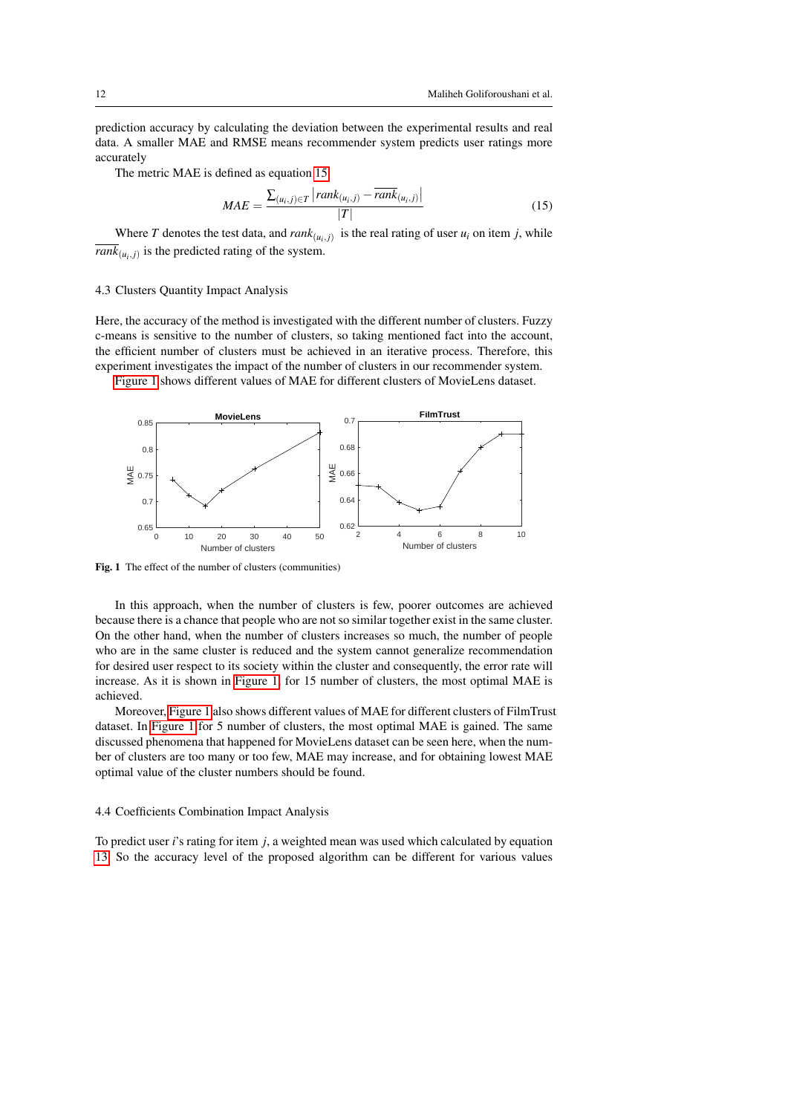prediction accuracy by calculating the deviation between the experimental results and real data. A smaller MAE and RMSE means recommender system predicts user ratings more accurately

The metric MAE is defined as equation [15:](#page-11-0)

<span id="page-11-0"></span>
$$
MAE = \frac{\sum_{(u_i, j) \in T} |rank_{(u_i, j)} - \overline{rank}_{(u_i, j)}|}{|T|}
$$
(15)

Where *T* denotes the test data, and  $rank_{(u_i,j)}$  is the real rating of user  $u_i$  on item *j*, while  $rank_{(u_i,j)}$  is the predicted rating of the system.

#### 4.3 Clusters Quantity Impact Analysis

Here, the accuracy of the method is investigated with the different number of clusters. Fuzzy c-means is sensitive to the number of clusters, so taking mentioned fact into the account, the efficient number of clusters must be achieved in an iterative process. Therefore, this experiment investigates the impact of the number of clusters in our recommender system.

[Figure 1](#page-11-1) shows different values of MAE for different clusters of MovieLens dataset.



<span id="page-11-1"></span>Fig. 1 The effect of the number of clusters (communities)

In this approach, when the number of clusters is few, poorer outcomes are achieved because there is a chance that people who are not so similar together exist in the same cluster. On the other hand, when the number of clusters increases so much, the number of people who are in the same cluster is reduced and the system cannot generalize recommendation for desired user respect to its society within the cluster and consequently, the error rate will increase. As it is shown in [Figure 1,](#page-11-1) for 15 number of clusters, the most optimal MAE is achieved.

Moreover, [Figure 1](#page-11-1) also shows different values of MAE for different clusters of FilmTrust dataset. In [Figure 1](#page-11-1) for 5 number of clusters, the most optimal MAE is gained. The same discussed phenomena that happened for MovieLens dataset can be seen here, when the number of clusters are too many or too few, MAE may increase, and for obtaining lowest MAE optimal value of the cluster numbers should be found.

#### 4.4 Coefficients Combination Impact Analysis

To predict user *i*'s rating for item *j*, a weighted mean was used which calculated by equation [13.](#page-9-1) So the accuracy level of the proposed algorithm can be different for various values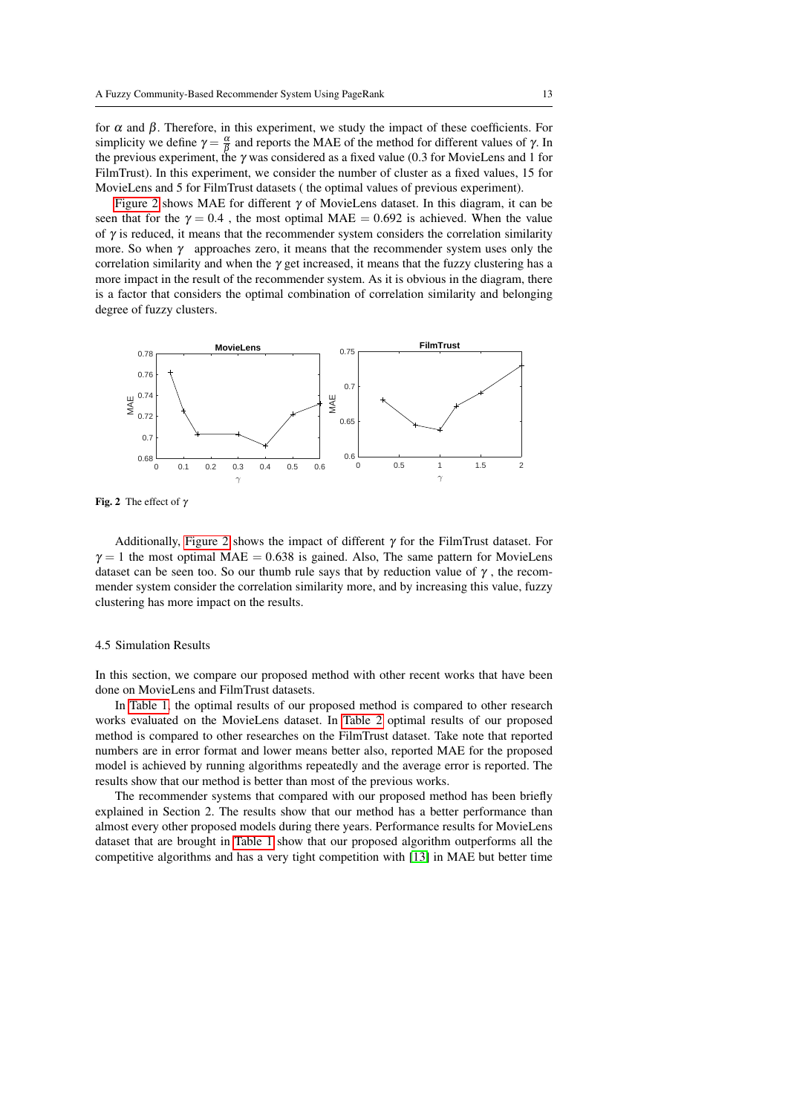for  $\alpha$  and  $\beta$ . Therefore, in this experiment, we study the impact of these coefficients. For simplicity we define  $\gamma = \frac{\alpha}{\beta}$  and reports the MAE of the method for different values of  $\gamma$ . In the previous experiment, the  $\gamma$  was considered as a fixed value (0.3 for MovieLens and 1 for FilmTrust). In this experiment, we consider the number of cluster as a fixed values, 15 for MovieLens and 5 for FilmTrust datasets ( the optimal values of previous experiment).

[Figure 2](#page-12-0) shows MAE for different  $\gamma$  of MovieLens dataset. In this diagram, it can be seen that for the  $\gamma = 0.4$ , the most optimal MAE = 0.692 is achieved. When the value of  $\gamma$  is reduced, it means that the recommender system considers the correlation similarity more. So when  $\gamma$  approaches zero, it means that the recommender system uses only the correlation similarity and when the  $\gamma$  get increased, it means that the fuzzy clustering has a more impact in the result of the recommender system. As it is obvious in the diagram, there is a factor that considers the optimal combination of correlation similarity and belonging degree of fuzzy clusters.



<span id="page-12-0"></span>Fig. 2 The effect of  $\gamma$ 

Additionally, [Figure 2](#page-12-0) shows the impact of different  $\gamma$  for the FilmTrust dataset. For  $\gamma = 1$  the most optimal MAE = 0.638 is gained. Also, The same pattern for MovieLens dataset can be seen too. So our thumb rule says that by reduction value of  $\gamma$ , the recommender system consider the correlation similarity more, and by increasing this value, fuzzy clustering has more impact on the results.

#### 4.5 Simulation Results

In this section, we compare our proposed method with other recent works that have been done on MovieLens and FilmTrust datasets.

In [Table 1,](#page-13-2) the optimal results of our proposed method is compared to other research works evaluated on the MovieLens dataset. In [Table 2](#page-13-3) optimal results of our proposed method is compared to other researches on the FilmTrust dataset. Take note that reported numbers are in error format and lower means better also, reported MAE for the proposed model is achieved by running algorithms repeatedly and the average error is reported. The results show that our method is better than most of the previous works.

The recommender systems that compared with our proposed method has been briefly explained in Section 2. The results show that our method has a better performance than almost every other proposed models during there years. Performance results for MovieLens dataset that are brought in [Table 1](#page-13-2) show that our proposed algorithm outperforms all the competitive algorithms and has a very tight competition with [\[13\]](#page-14-11) in MAE but better time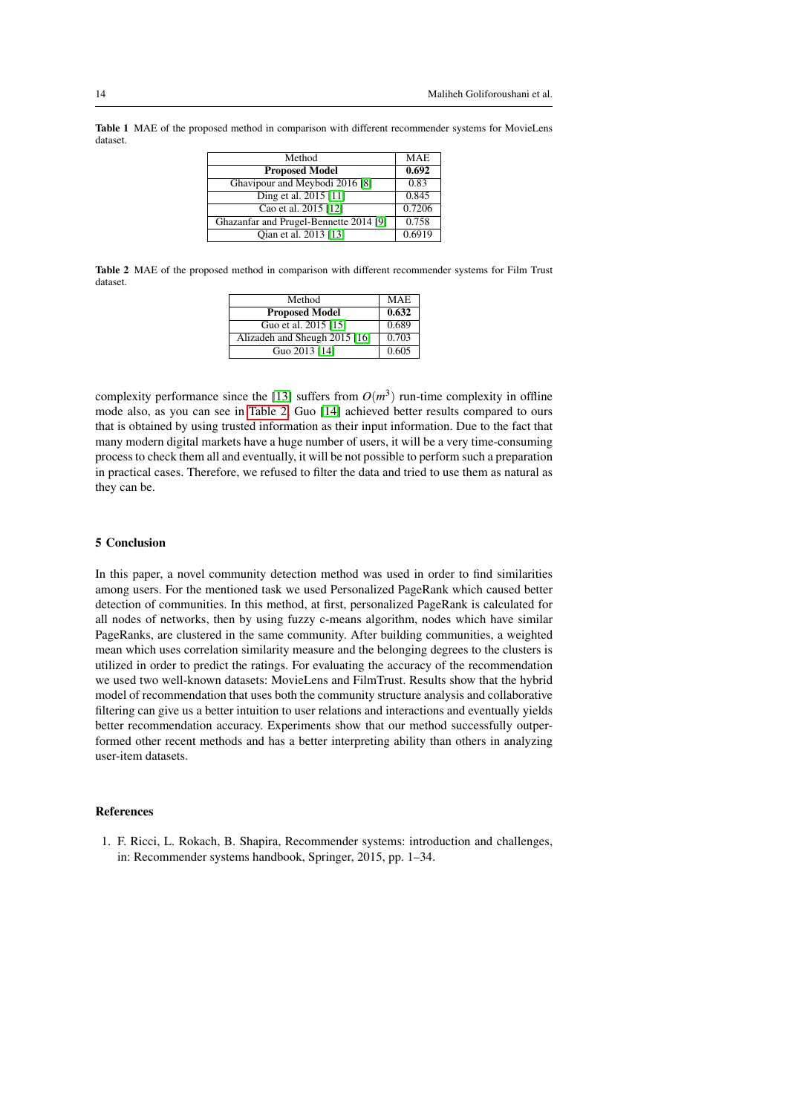<span id="page-13-2"></span>Table 1 MAE of the proposed method in comparison with different recommender systems for MovieLens dataset.

| Method                                 | <b>MAE</b> |
|----------------------------------------|------------|
| <b>Proposed Model</b>                  | 0.692      |
| Ghavipour and Meybodi 2016 [8]         | 0.83       |
| Ding et al. 2015 [11]                  | 0.845      |
| Cao et al. 2015 [12]                   | 0.7206     |
| Ghazanfar and Prugel-Bennette 2014 [9] | 0.758      |
| Oian et al. 2013 [13]                  | 0.6919     |

<span id="page-13-3"></span>Table 2 MAE of the proposed method in comparison with different recommender systems for Film Trust dataset.

| Method                        | MAE   |
|-------------------------------|-------|
| <b>Proposed Model</b>         | 0.632 |
| Guo et al. 2015 [15]          | 0.689 |
| Alizadeh and Sheugh 2015 [16] | 0.703 |
| Guo 2013 [14]                 | 0.605 |

complexity performance since the [\[13\]](#page-14-11) suffers from  $O(m^3)$  run-time complexity in offline mode also, as you can see in [Table 2,](#page-13-3) Guo [\[14\]](#page-14-12) achieved better results compared to ours that is obtained by using trusted information as their input information. Due to the fact that many modern digital markets have a huge number of users, it will be a very time-consuming process to check them all and eventually, it will be not possible to perform such a preparation in practical cases. Therefore, we refused to filter the data and tried to use them as natural as they can be.

## <span id="page-13-1"></span>5 Conclusion

In this paper, a novel community detection method was used in order to find similarities among users. For the mentioned task we used Personalized PageRank which caused better detection of communities. In this method, at first, personalized PageRank is calculated for all nodes of networks, then by using fuzzy c-means algorithm, nodes which have similar PageRanks, are clustered in the same community. After building communities, a weighted mean which uses correlation similarity measure and the belonging degrees to the clusters is utilized in order to predict the ratings. For evaluating the accuracy of the recommendation we used two well-known datasets: MovieLens and FilmTrust. Results show that the hybrid model of recommendation that uses both the community structure analysis and collaborative filtering can give us a better intuition to user relations and interactions and eventually yields better recommendation accuracy. Experiments show that our method successfully outperformed other recent methods and has a better interpreting ability than others in analyzing user-item datasets.

## References

<span id="page-13-0"></span>1. F. Ricci, L. Rokach, B. Shapira, Recommender systems: introduction and challenges, in: Recommender systems handbook, Springer, 2015, pp. 1–34.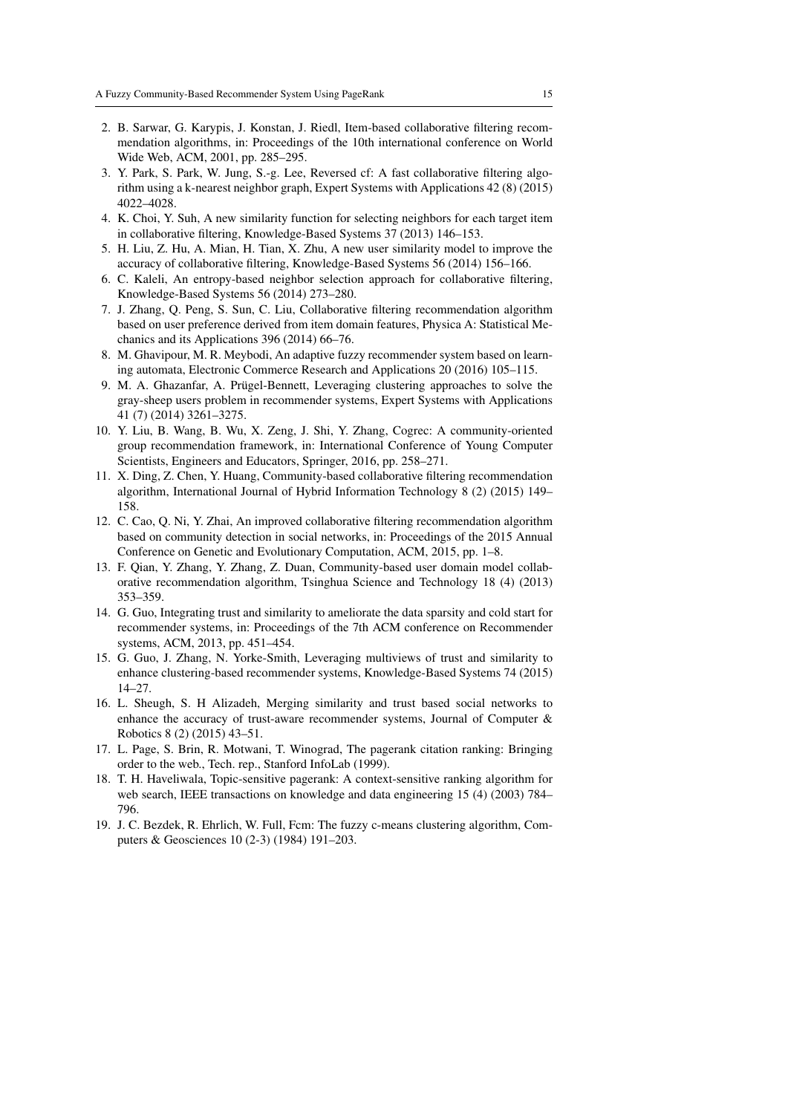- <span id="page-14-0"></span>2. B. Sarwar, G. Karypis, J. Konstan, J. Riedl, Item-based collaborative filtering recommendation algorithms, in: Proceedings of the 10th international conference on World Wide Web, ACM, 2001, pp. 285–295.
- <span id="page-14-1"></span>3. Y. Park, S. Park, W. Jung, S.-g. Lee, Reversed cf: A fast collaborative filtering algorithm using a k-nearest neighbor graph, Expert Systems with Applications 42 (8) (2015) 4022–4028.
- <span id="page-14-2"></span>4. K. Choi, Y. Suh, A new similarity function for selecting neighbors for each target item in collaborative filtering, Knowledge-Based Systems 37 (2013) 146–153.
- <span id="page-14-3"></span>5. H. Liu, Z. Hu, A. Mian, H. Tian, X. Zhu, A new user similarity model to improve the accuracy of collaborative filtering, Knowledge-Based Systems 56 (2014) 156–166.
- <span id="page-14-4"></span>6. C. Kaleli, An entropy-based neighbor selection approach for collaborative filtering, Knowledge-Based Systems 56 (2014) 273–280.
- <span id="page-14-5"></span>7. J. Zhang, Q. Peng, S. Sun, C. Liu, Collaborative filtering recommendation algorithm based on user preference derived from item domain features, Physica A: Statistical Mechanics and its Applications 396 (2014) 66–76.
- <span id="page-14-6"></span>8. M. Ghavipour, M. R. Meybodi, An adaptive fuzzy recommender system based on learning automata, Electronic Commerce Research and Applications 20 (2016) 105–115.
- <span id="page-14-7"></span>9. M. A. Ghazanfar, A. Prügel-Bennett, Leveraging clustering approaches to solve the gray-sheep users problem in recommender systems, Expert Systems with Applications 41 (7) (2014) 3261–3275.
- <span id="page-14-8"></span>10. Y. Liu, B. Wang, B. Wu, X. Zeng, J. Shi, Y. Zhang, Cogrec: A community-oriented group recommendation framework, in: International Conference of Young Computer Scientists, Engineers and Educators, Springer, 2016, pp. 258–271.
- <span id="page-14-9"></span>11. X. Ding, Z. Chen, Y. Huang, Community-based collaborative filtering recommendation algorithm, International Journal of Hybrid Information Technology 8 (2) (2015) 149– 158.
- <span id="page-14-10"></span>12. C. Cao, Q. Ni, Y. Zhai, An improved collaborative filtering recommendation algorithm based on community detection in social networks, in: Proceedings of the 2015 Annual Conference on Genetic and Evolutionary Computation, ACM, 2015, pp. 1–8.
- <span id="page-14-11"></span>13. F. Qian, Y. Zhang, Y. Zhang, Z. Duan, Community-based user domain model collaborative recommendation algorithm, Tsinghua Science and Technology 18 (4) (2013) 353–359.
- <span id="page-14-12"></span>14. G. Guo, Integrating trust and similarity to ameliorate the data sparsity and cold start for recommender systems, in: Proceedings of the 7th ACM conference on Recommender systems, ACM, 2013, pp. 451–454.
- <span id="page-14-13"></span>15. G. Guo, J. Zhang, N. Yorke-Smith, Leveraging multiviews of trust and similarity to enhance clustering-based recommender systems, Knowledge-Based Systems 74 (2015) 14–27.
- <span id="page-14-14"></span>16. L. Sheugh, S. H Alizadeh, Merging similarity and trust based social networks to enhance the accuracy of trust-aware recommender systems, Journal of Computer & Robotics 8 (2) (2015) 43–51.
- <span id="page-14-15"></span>17. L. Page, S. Brin, R. Motwani, T. Winograd, The pagerank citation ranking: Bringing order to the web., Tech. rep., Stanford InfoLab (1999).
- <span id="page-14-16"></span>18. T. H. Haveliwala, Topic-sensitive pagerank: A context-sensitive ranking algorithm for web search, IEEE transactions on knowledge and data engineering 15 (4) (2003) 784– 796.
- <span id="page-14-17"></span>19. J. C. Bezdek, R. Ehrlich, W. Full, Fcm: The fuzzy c-means clustering algorithm, Computers & Geosciences 10 (2-3) (1984) 191–203.